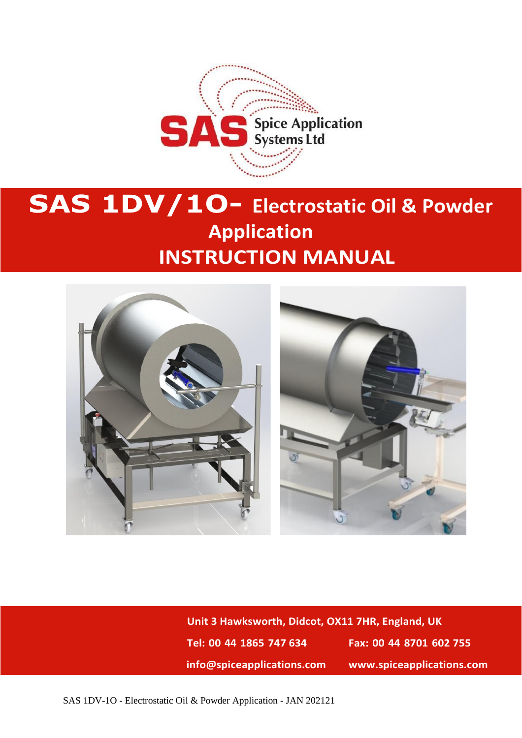

# **SAS 1DV/1O- Electrostatic Oil & Powder Application INSTRUCTION MANUAL**



**Unit 3 Hawksworth, Didcot, OX11 7HR, England, UK Tel: 00 44 1865 747 634 Fax: 00 44 8701 602 755 info@spiceapplications.com www.spiceapplications.com**

SAS 1DV-1O - Electrostatic Oil & Powder Application - JAN 202121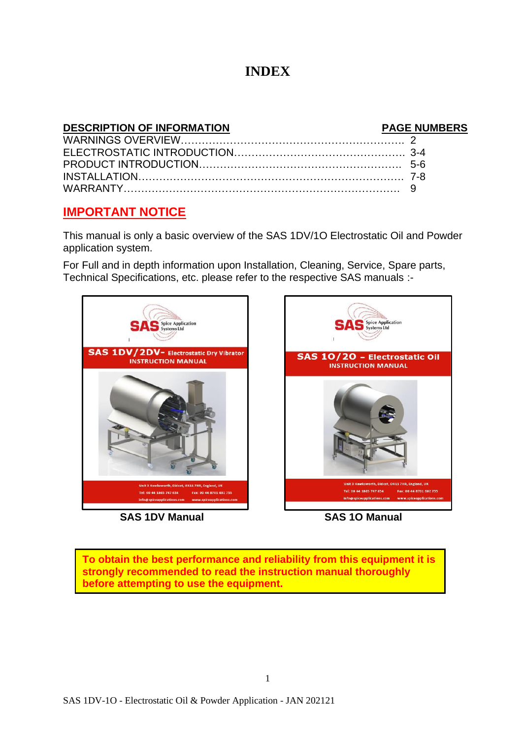### **INDEX**

#### **DESCRIPTION OF INFORMATION PAGE NUMBERS** WARNINGS OVERVIEW………………………………………………………. 2 ELECTROSTATIC INTRODUCTION…………………………………………. 3-4 PRODUCT INTRODUCTION…………………………………………………. 5-6 INSTALLATION…………………………………………………………………. 7-8 WARRANTY……………………………………………………………………. 9

### **IMPORTANT NOTICE**

This manual is only a basic overview of the SAS 1DV/1O Electrostatic Oil and Powder application system.

For Full and in depth information upon Installation, Cleaning, Service, Spare parts, Technical Specifications, etc. please refer to the respective SAS manuals :-



 **SAS 1DV Manual SAS 1O Manual**



**To obtain the best performance and reliability from this equipment it is strongly recommended to read the instruction manual thoroughly before attempting to use the equipment.**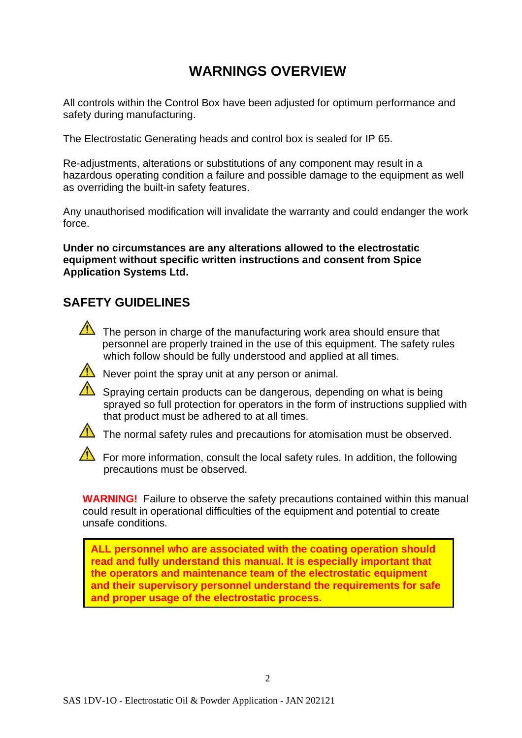# **WARNINGS OVERVIEW**

All controls within the Control Box have been adjusted for optimum performance and safety during manufacturing.

The Electrostatic Generating heads and control box is sealed for IP 65.

Re-adjustments, alterations or substitutions of any component may result in a hazardous operating condition a failure and possible damage to the equipment as well as overriding the built-in safety features.

Any unauthorised modification will invalidate the warranty and could endanger the work force.

**Under no circumstances are any alterations allowed to the electrostatic equipment without specific written instructions and consent from Spice Application Systems Ltd.**

### **SAFETY GUIDELINES**



The person in charge of the manufacturing work area should ensure that personnel are properly trained in the use of this equipment. The safety rules which follow should be fully understood and applied at all times.



 $\sqrt{\phantom{a}}$  Never point the spray unit at any person or animal.

 $\sqrt{\phantom{a}}$  Spraying certain products can be dangerous, depending on what is being sprayed so full protection for operators in the form of instructions supplied with that product must be adhered to at all times.



The normal safety rules and precautions for atomisation must be observed.

For more information, consult the local safety rules. In addition, the following precautions must be observed.

**WARNING!** Failure to observe the safety precautions contained within this manual could result in operational difficulties of the equipment and potential to create unsafe conditions.

**ALL personnel who are associated with the coating operation should read and fully understand this manual. It is especially important that the operators and maintenance team of the electrostatic equipment and their supervisory personnel understand the requirements for safe and proper usage of the electrostatic process.**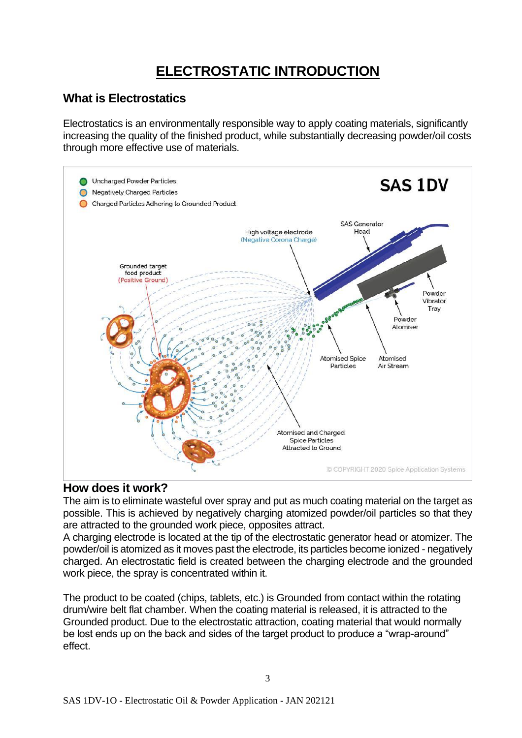# **ELECTROSTATIC INTRODUCTION**

### **What is Electrostatics**

Electrostatics is an environmentally responsible way to apply coating materials, significantly increasing the quality of the finished product, while substantially decreasing powder/oil costs through more effective use of materials.



### **How does it work?**

The aim is to eliminate wasteful over spray and put as much coating material on the target as possible. This is achieved by negatively charging atomized powder/oil particles so that they are attracted to the grounded work piece, opposites attract.

A charging electrode is located at the tip of the electrostatic generator head or atomizer. The powder/oil is atomized as it moves past the electrode, its particles become ionized - negatively charged. An electrostatic field is created between the charging electrode and the grounded work piece, the spray is concentrated within it.

The product to be coated (chips, tablets, etc.) is Grounded from contact within the rotating drum/wire belt flat chamber. When the coating material is released, it is attracted to the Grounded product. Due to the electrostatic attraction, coating material that would normally be lost ends up on the back and sides of the target product to produce a "wrap-around" effect.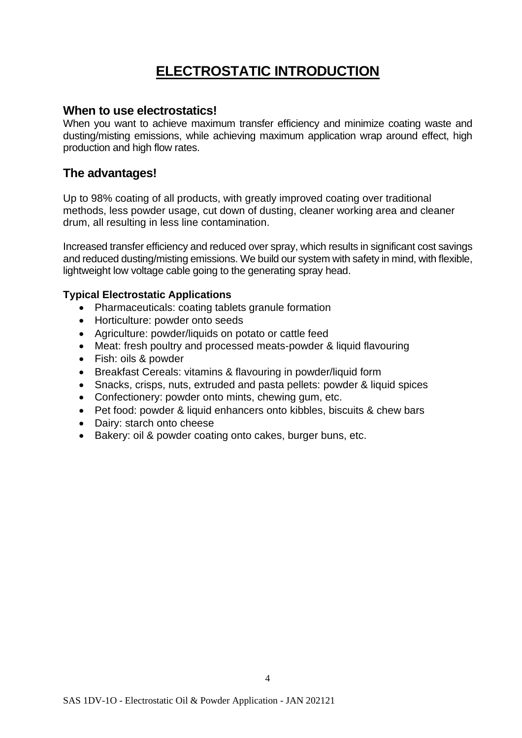# **ELECTROSTATIC INTRODUCTION**

#### **When to use electrostatics!**

When you want to achieve maximum transfer efficiency and minimize coating waste and dusting/misting emissions, while achieving maximum application wrap around effect, high production and high flow rates.

### **The advantages!**

Up to 98% coating of all products, with greatly improved coating over traditional methods, less powder usage, cut down of dusting, cleaner working area and cleaner drum, all resulting in less line contamination.

Increased transfer efficiency and reduced over spray, which results in significant cost savings and reduced dusting/misting emissions. We build our system with safety in mind, with flexible, lightweight low voltage cable going to the generating spray head.

#### **Typical Electrostatic Applications**

- Pharmaceuticals: coating tablets granule formation
- Horticulture: powder onto seeds
- Agriculture: powder/liquids on potato or cattle feed
- Meat: fresh poultry and processed meats-powder & liquid flavouring
- Fish: oils & powder
- Breakfast Cereals: vitamins & flavouring in powder/liquid form
- Snacks, crisps, nuts, extruded and pasta pellets: powder & liquid spices
- Confectionery: powder onto mints, chewing gum, etc.
- Pet food: powder & liquid enhancers onto kibbles, biscuits & chew bars
- Dairy: starch onto cheese
- Bakery: oil & powder coating onto cakes, burger buns, etc.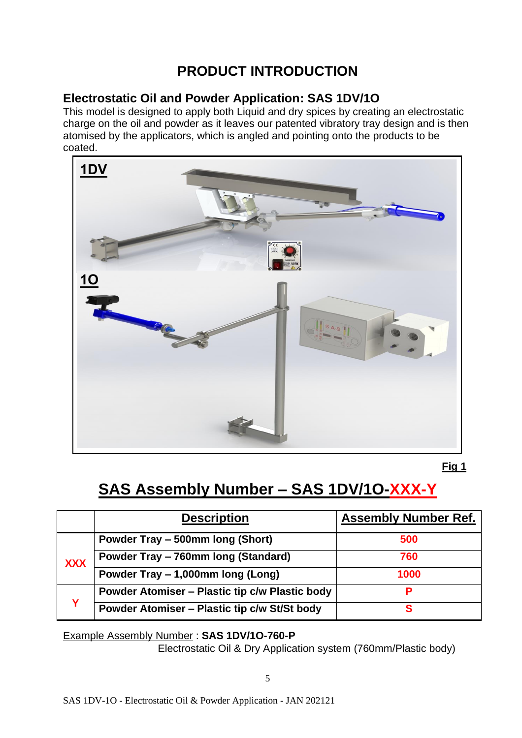# **PRODUCT INTRODUCTION**

### **Electrostatic Oil and Powder Application: SAS 1DV/1O**

This model is designed to apply both Liquid and dry spices by creating an electrostatic charge on the oil and powder as it leaves our patented vibratory tray design and is then atomised by the applicators, which is angled and pointing onto the products to be coated.



**Fig 1**

# **SAS Assembly Number – SAS 1DV/1O-XXX-Y**

|            | <b>Description</b>                                    | <b>Assembly Number Ref.</b> |
|------------|-------------------------------------------------------|-----------------------------|
|            | Powder Tray - 500mm long (Short)                      | 500                         |
| <b>XXX</b> | Powder Tray - 760mm long (Standard)                   | 760                         |
|            | Powder Tray - 1,000mm long (Long)                     | 1000                        |
| v          | <b>Powder Atomiser - Plastic tip c/w Plastic body</b> | Р                           |
|            | Powder Atomiser - Plastic tip c/w St/St body          | S                           |

Example Assembly Number : **SAS 1DV/1O-760-P**

Electrostatic Oil & Dry Application system (760mm/Plastic body)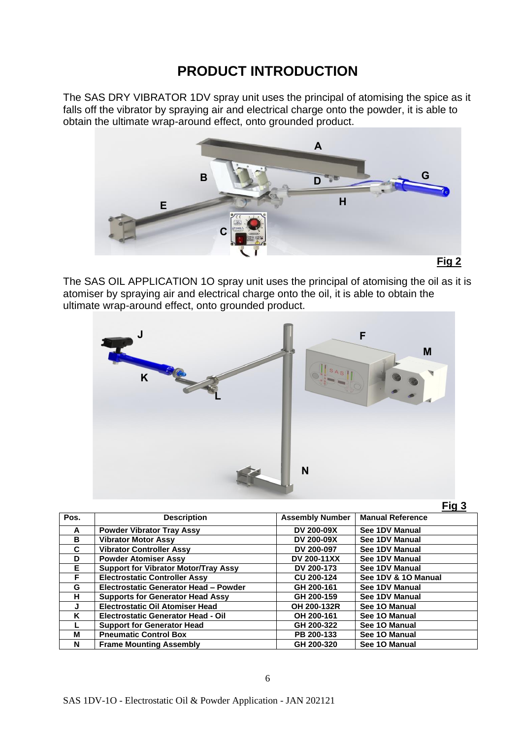## **PRODUCT INTRODUCTION**

The SAS DRY VIBRATOR 1DV spray unit uses the principal of atomising the spice as it falls off the vibrator by spraying air and electrical charge onto the powder, it is able to obtain the ultimate wrap-around effect, onto grounded product.



The SAS OIL APPLICATION 1O spray unit uses the principal of atomising the oil as it is atomiser by spraying air and electrical charge onto the oil, it is able to obtain the ultimate wrap-around effect, onto grounded product.



|--|

| Pos. | <b>Description</b>                          | <b>Assembly Number</b> | <b>Manual Reference</b> |
|------|---------------------------------------------|------------------------|-------------------------|
| A    | <b>Powder Vibrator Tray Assy</b>            | <b>DV 200-09X</b>      | See 1DV Manual          |
| B    | <b>Vibrator Motor Assy</b>                  | DV 200-09X             | See 1DV Manual          |
| C    | <b>Vibrator Controller Assy</b>             | DV 200-097             | See 1DV Manual          |
| D    | <b>Powder Atomiser Assy</b>                 | <b>DV 200-11XX</b>     | See 1DV Manual          |
| Е    | <b>Support for Vibrator Motor/Tray Assy</b> | DV 200-173             | See 1DV Manual          |
| F    | <b>Electrostatic Controller Assy</b>        | <b>CU 200-124</b>      | See 1DV & 10 Manual     |
| G    | Electrostatic Generator Head - Powder       | GH 200-161             | See 1DV Manual          |
| н    | <b>Supports for Generator Head Assy</b>     | GH 200-159             | See 1DV Manual          |
| J    | <b>Electrostatic Oil Atomiser Head</b>      | OH 200-132R            | See 10 Manual           |
| ĸ    | <b>Electrostatic Generator Head - Oil</b>   | OH 200-161             | See 10 Manual           |
|      | <b>Support for Generator Head</b>           | GH 200-322             | See 10 Manual           |
| м    | <b>Pneumatic Control Box</b>                | PB 200-133             | See 10 Manual           |
| N    | <b>Frame Mounting Assembly</b>              | GH 200-320             | See 10 Manual           |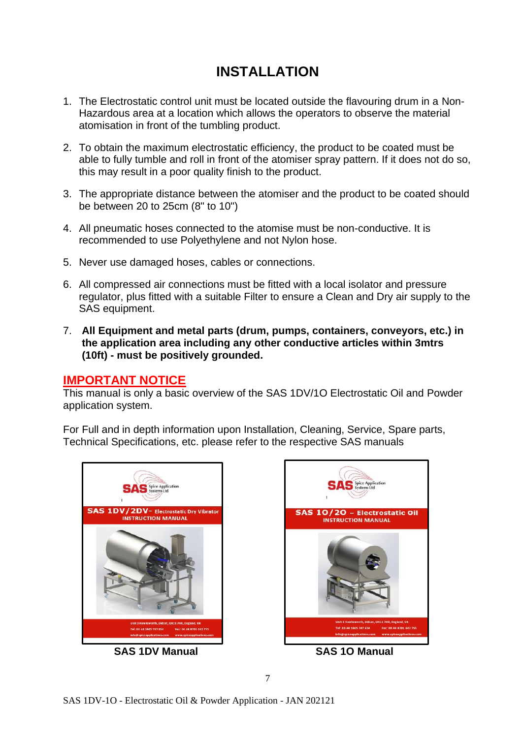# **INSTALLATION**

- 1. The Electrostatic control unit must be located outside the flavouring drum in a Non-Hazardous area at a location which allows the operators to observe the material atomisation in front of the tumbling product.
- 2. To obtain the maximum electrostatic efficiency, the product to be coated must be able to fully tumble and roll in front of the atomiser spray pattern. If it does not do so, this may result in a poor quality finish to the product.
- 3. The appropriate distance between the atomiser and the product to be coated should be between 20 to 25cm (8" to 10")
- 4. All pneumatic hoses connected to the atomise must be non-conductive. It is recommended to use Polyethylene and not Nylon hose.
- 5. Never use damaged hoses, cables or connections.
- 6. All compressed air connections must be fitted with a local isolator and pressure regulator, plus fitted with a suitable Filter to ensure a Clean and Dry air supply to the SAS equipment.
- 7. **All Equipment and metal parts (drum, pumps, containers, conveyors, etc.) in the application area including any other conductive articles within 3mtrs (10ft) - must be positively grounded.**

#### **IMPORTANT NOTICE**

This manual is only a basic overview of the SAS 1DV/1O Electrostatic Oil and Powder application system.

For Full and in depth information upon Installation, Cleaning, Service, Spare parts, Technical Specifications, etc. please refer to the respective SAS manuals



 **SAS 1DV Manual SAS 1O Manual**

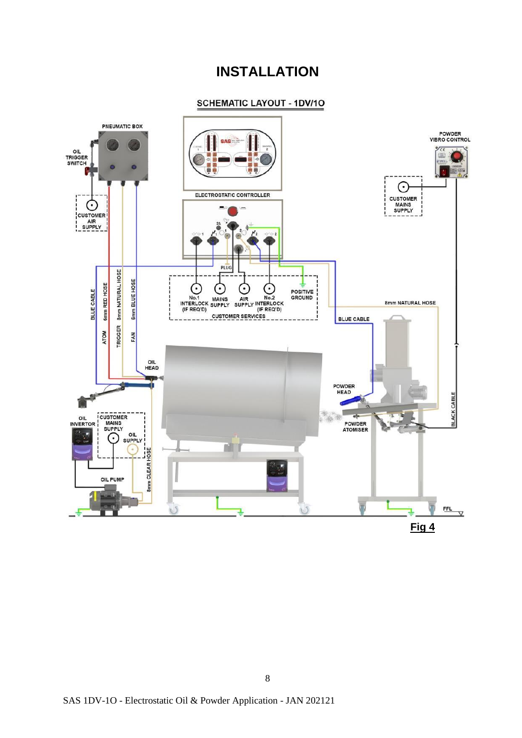### **INSTALLATION**

#### **SCHEMATIC LAYOUT - 1DV/10**

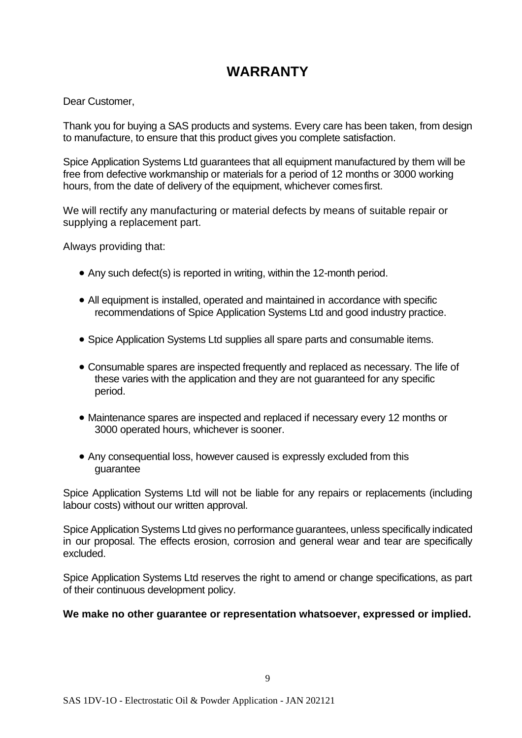# **WARRANTY**

Dear Customer,

Thank you for buying a SAS products and systems. Every care has been taken, from design to manufacture, to ensure that this product gives you complete satisfaction.

Spice Application Systems Ltd guarantees that all equipment manufactured by them will be free from defective workmanship or materials for a period of 12 months or 3000 working hours, from the date of delivery of the equipment, whichever comesfirst.

We will rectify any manufacturing or material defects by means of suitable repair or supplying a replacement part.

Always providing that:

- Any such defect(s) is reported in writing, within the 12-month period.
- All equipment is installed, operated and maintained in accordance with specific recommendations of Spice Application Systems Ltd and good industry practice.
- Spice Application Systems Ltd supplies all spare parts and consumable items.
- Consumable spares are inspected frequently and replaced as necessary. The life of these varies with the application and they are not guaranteed for any specific period.
- Maintenance spares are inspected and replaced if necessary every 12 months or 3000 operated hours, whichever is sooner.
- Any consequential loss, however caused is expressly excluded from this guarantee

Spice Application Systems Ltd will not be liable for any repairs or replacements (including labour costs) without our written approval.

Spice Application Systems Ltd gives no performance guarantees, unless specifically indicated in our proposal. The effects erosion, corrosion and general wear and tear are specifically excluded.

Spice Application Systems Ltd reserves the right to amend or change specifications, as part of their continuous development policy.

#### **We make no other guarantee or representation whatsoever, expressed or implied.**